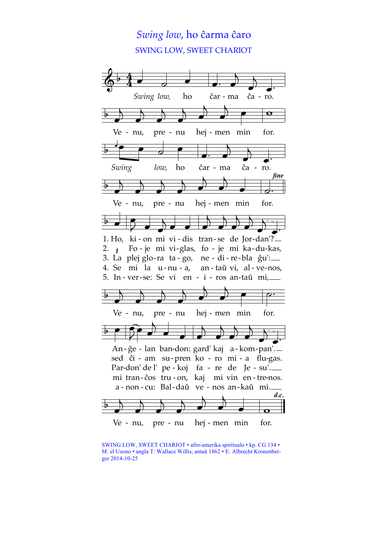# *Swing low*, ho ĉarma ĉaro SWING LOW, SWEET CHARIOT



SWING LOW, SWEET CHARIOT • afro-amerika spiritualo • kp. CG 134 • M: el Usono • angla T: Wallace Willis, antaŭ 1862 • E: Albrecht Kronenberger 2014-10-25